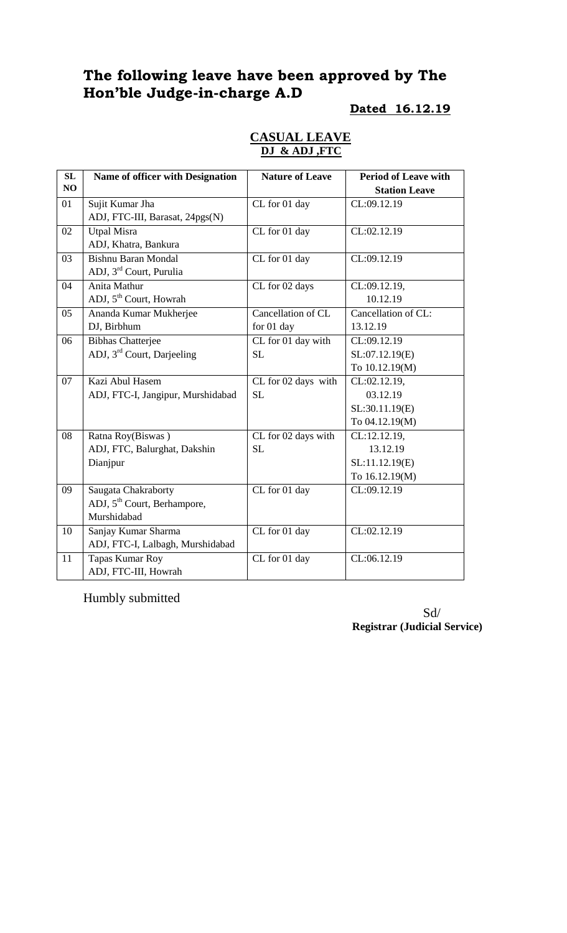# **The following leave have been approved by The Hon'ble Judge-in-charge A.D**

#### **Dated 16.12.19**

#### **CASUAL LEAVE DJ & ADJ ,FTC**

| SL | Name of officer with Designation        | <b>Nature of Leave</b> | <b>Period of Leave with</b>    |
|----|-----------------------------------------|------------------------|--------------------------------|
| NO |                                         |                        | <b>Station Leave</b>           |
| 01 | Sujit Kumar Jha                         | CL for 01 day          | CL:09.12.19                    |
|    | ADJ, FTC-III, Barasat, 24pgs(N)         |                        |                                |
| 02 | <b>Utpal Misra</b>                      | CL for 01 day          | CL:02.12.19                    |
|    | ADJ, Khatra, Bankura                    |                        |                                |
| 03 | <b>Bishnu Baran Mondal</b>              | CL for 01 day          | CL:09.12.19                    |
|    | ADJ, 3 <sup>rd</sup> Court, Purulia     |                        |                                |
| 04 | Anita Mathur                            | CL for 02 days         | CL:09.12.19,                   |
|    | ADJ, 5 <sup>th</sup> Court, Howrah      |                        | 10.12.19                       |
| 05 | Ananda Kumar Mukherjee                  | Cancellation of CL     | Cancellation of CL:            |
|    | DJ, Birbhum                             | for 01 day             | 13.12.19                       |
| 06 | <b>Bibhas Chatterjee</b>                | CL for 01 day with     | CL:09.12.19                    |
|    | ADJ, 3 <sup>rd</sup> Court, Darjeeling  | SL                     | SL:07.12.19(E)                 |
|    |                                         |                        | To 10.12.19(M)                 |
| 07 | Kazi Abul Hasem                         | CL for 02 days with    | CL:02.12.19,                   |
|    | ADJ, FTC-I, Jangipur, Murshidabad       | <b>SL</b>              | 03.12.19                       |
|    |                                         |                        | SL:30.11.19(E)                 |
|    |                                         |                        | To 04.12.19(M)                 |
| 08 | Ratna Roy(Biswas)                       | CL for 02 days with    | CL:12.12.19,                   |
|    | ADJ, FTC, Balurghat, Dakshin            | <b>SL</b>              | 13.12.19                       |
|    | Dianjpur                                |                        | SL:11.12.19(E)                 |
|    |                                         |                        | To 16.12.19(M)                 |
| 09 | Saugata Chakraborty                     | CL for 01 day          | CL:09.12.19                    |
|    | ADJ, 5 <sup>th</sup> Court, Berhampore, |                        |                                |
|    | Murshidabad                             |                        |                                |
| 10 | Sanjay Kumar Sharma                     | CL for 01 day          | $\overline{{\rm CL}}:02.12.19$ |
|    | ADJ, FTC-I, Lalbagh, Murshidabad        |                        |                                |
| 11 | Tapas Kumar Roy                         | CL for 01 day          | CL:06.12.19                    |
|    | ADJ, FTC-III, Howrah                    |                        |                                |

Humbly submitted

 Sd/ **Registrar (Judicial Service)**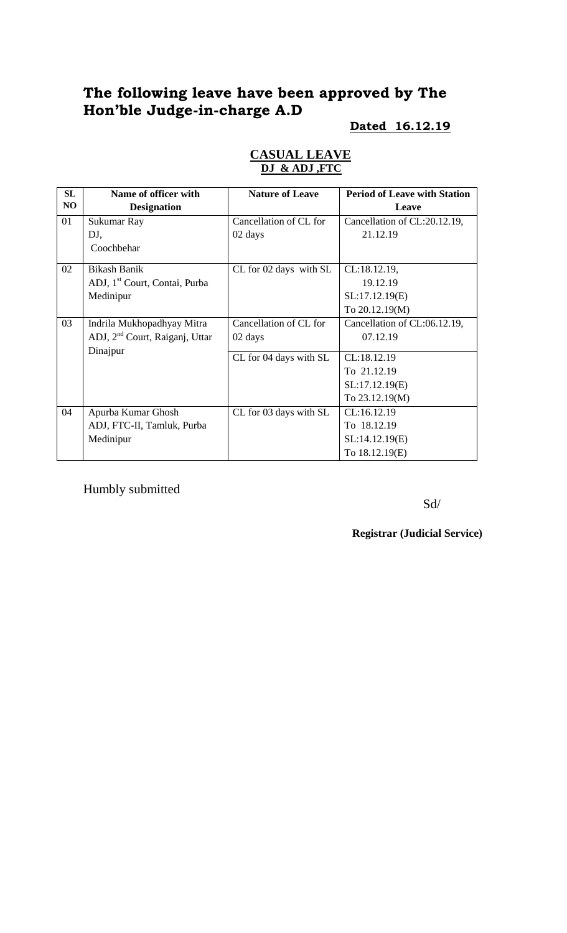# **The following leave have been approved by The Hon'ble Judge-in-charge A.D**

# **Dated 16.12.19**

| SL | Name of officer with                                   | <b>Nature of Leave</b> | <b>Period of Leave with Station</b> |
|----|--------------------------------------------------------|------------------------|-------------------------------------|
| NO | <b>Designation</b>                                     |                        | Leave                               |
| 01 | Sukumar Ray                                            | Cancellation of CL for | Cancellation of CL:20.12.19,        |
|    | DJ,                                                    | 02 days                | 21.12.19                            |
|    | Coochbehar                                             |                        |                                     |
| 02 | <b>Bikash Banik</b>                                    | CL for 02 days with SL | CL:18.12.19,                        |
|    | ADJ, 1 <sup>st</sup> Court, Contai, Purba              |                        | 19.12.19                            |
|    | Medinipur                                              |                        | SL:17.12.19(E)                      |
|    |                                                        |                        | To 20.12.19(M)                      |
| 03 | Indrila Mukhopadhyay Mitra                             | Cancellation of CL for | Cancellation of CL:06.12.19,        |
|    | ADJ, 2 <sup>nd</sup> Court, Raiganj, Uttar<br>Dinajpur | 02 days                | 07.12.19                            |
|    |                                                        | CL for 04 days with SL | CL:18.12.19                         |
|    |                                                        |                        | To 21.12.19                         |
|    |                                                        |                        | SL:17.12.19(E)                      |
|    |                                                        |                        | To 23.12.19(M)                      |
| 04 | Apurba Kumar Ghosh                                     | CL for 03 days with SL | CL:16.12.19                         |
|    | ADJ, FTC-II, Tamluk, Purba                             |                        | To 18.12.19                         |
|    | Medinipur                                              |                        | SL:14.12.19(E)                      |
|    |                                                        |                        | To 18.12.19(E)                      |

### **CASUAL LEAVE DJ & ADJ ,FTC**

Humbly submitted

Sd/

**Registrar (Judicial Service)**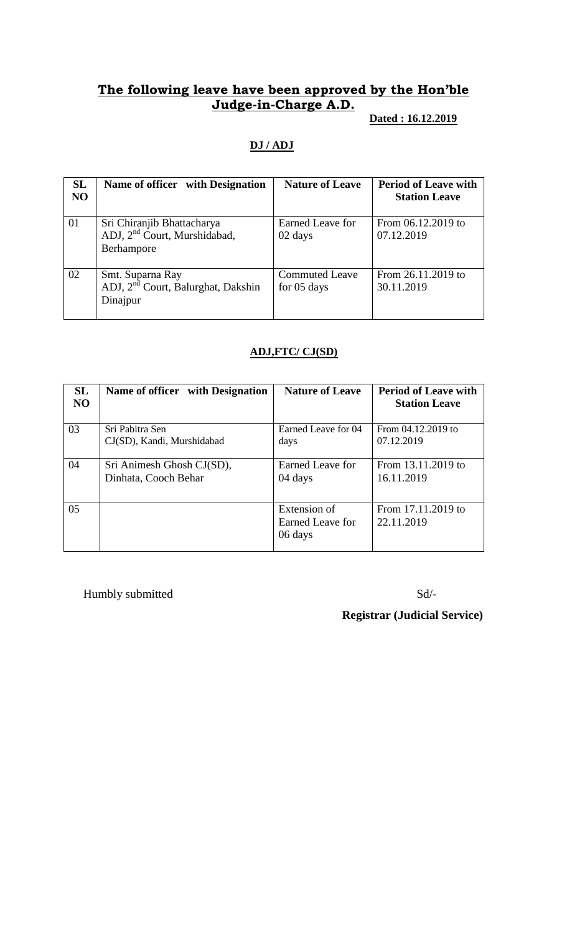# **The following leave have been approved by the Hon'ble Judge-in-Charge A.D.**

### **Dated : 16.12.2019**

## **DJ / ADJ**

| <b>SL</b><br>N <sub>O</sub> | Name of officer with Designation                                                     | <b>Nature of Leave</b>               | <b>Period of Leave with</b><br><b>Station Leave</b> |
|-----------------------------|--------------------------------------------------------------------------------------|--------------------------------------|-----------------------------------------------------|
| 01                          | Sri Chiranjib Bhattacharya<br>ADJ, 2 <sup>nd</sup> Court, Murshidabad,<br>Berhampore | Earned Leave for<br>02 days          | From 06.12.2019 to<br>07.12.2019                    |
| 02                          | Smt. Suparna Ray<br>ADJ, 2 <sup>nd</sup> Court, Balurghat, Dakshin<br>Dinajpur       | <b>Commuted Leave</b><br>for 05 days | From 26.11.2019 to<br>30.11.2019                    |

#### **ADJ,FTC/ CJ(SD)**

| SL<br>N <sub>O</sub> | Name of officer with Designation | <b>Nature of Leave</b> | <b>Period of Leave with</b><br><b>Station Leave</b> |
|----------------------|----------------------------------|------------------------|-----------------------------------------------------|
| 03                   | Sri Pabitra Sen                  | Earned Leave for 04    | From 04.12.2019 to                                  |
|                      | CJ(SD), Kandi, Murshidabad       | days                   | 07.12.2019                                          |
| 04                   | Sri Animesh Ghosh CJ(SD),        | Earned Leave for       | From 13.11.2019 to                                  |
|                      | Dinhata, Cooch Behar             | 04 days                | 16.11.2019                                          |
| 05                   |                                  | Extension of           | From 17.11.2019 to                                  |
|                      |                                  | Earned Leave for       | 22.11.2019                                          |
|                      |                                  | 06 days                |                                                     |

Humbly submitted Sd/-

 **Registrar (Judicial Service)**